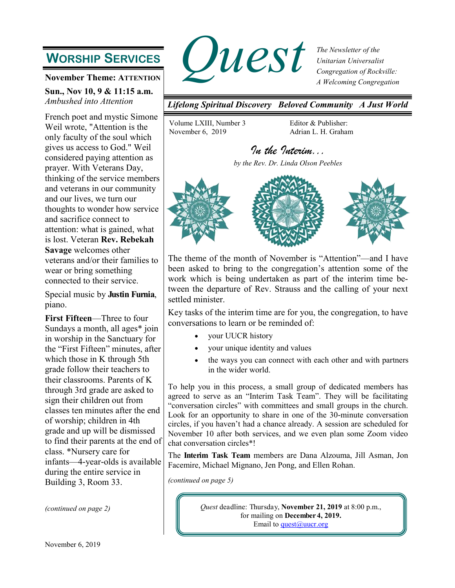# **WORSHIP SERVICES**

**November Theme: ATTENTION** 

**Sun., Nov 10, 9 & 11:15 a.m.** *Ambushed into Attention*

French poet and mystic Simone Weil wrote, "Attention is the only faculty of the soul which gives us access to God." Weil considered paying attention as prayer. With Veterans Day, thinking of the service members and veterans in our community and our lives, we turn our thoughts to wonder how service and sacrifice connect to attention: what is gained, what is lost. Veteran **Rev. Rebekah Savage** welcomes other veterans and/or their families to wear or bring something connected to their service.

Special music by **Justin Furnia**, piano.

**First Fifteen**—Three to four Sundays a month, all ages\* join in worship in the Sanctuary for the "First Fifteen" minutes, after which those in K through 5th grade follow their teachers to their classrooms. Parents of K through 3rd grade are asked to sign their children out from classes ten minutes after the end of worship; children in 4th grade and up will be dismissed to find their parents at the end of class. \*Nursery care for infants—4-year-olds is available during the entire service in Building 3, Room 33.



*The Newsletter of the Unitarian Universalist Congregation of Rockville: A Welcoming Congregation*

*Lifelong Spiritual Discovery Beloved Community A Just World*

Volume LXIII, Number 3 November 6, 2019

Editor & Publisher: Adrian L. H. Graham

## *In the Interim...*

*by the Rev. Dr. Linda Olson Peebles* 



The theme of the month of November is "Attention"—and I have been asked to bring to the congregation's attention some of the work which is being undertaken as part of the interim time between the departure of Rev. Strauss and the calling of your next settled minister.

Key tasks of the interim time are for you, the congregation, to have conversations to learn or be reminded of:

- your UUCR history
- your unique identity and values
- the ways you can connect with each other and with partners in the wider world.

To help you in this process, a small group of dedicated members has agreed to serve as an "Interim Task Team". They will be facilitating "conversation circles" with committees and small groups in the church. Look for an opportunity to share in one of the 30-minute conversation circles, if you haven't had a chance already. A session are scheduled for November 10 after both services, and we even plan some Zoom video chat conversation circles\*!

The **Interim Task Team** members are Dana Alzouma, Jill Asman, Jon Facemire, Michael Mignano, Jen Pong, and Ellen Rohan.

*(continued on page 5)*

*(continued on page 2) Quest* deadline: Thursday, **November 21, 2019** at 8:00 p.m., for mailing on **December 4, 2019.** Email to [quest@uucr.org](mailto:quest@uucr.org?subject=re:%20September%20Quest%20submission)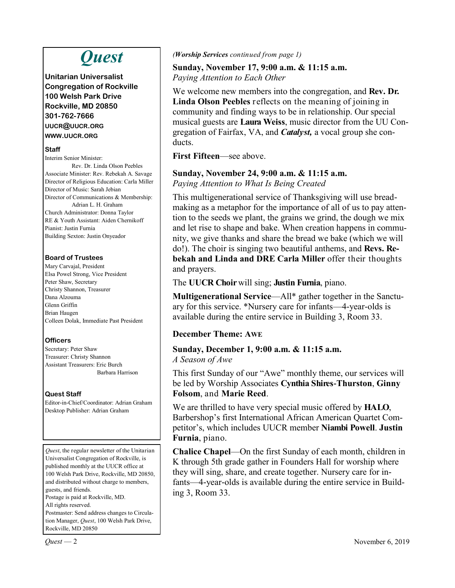# *Quest*

**Unitarian Universalist Congregation of Rockville 100 Welsh Park Drive Rockville, MD 20850 301-762-7666 UUCR@UUCR.ORG WWW.UUCR.ORG**

#### **Staff**

Interim Senior Minister: Rev. Dr. Linda Olson Peebles Associate Minister: Rev. Rebekah A. Savage Director of Religious Education: Carla Miller Director of Music: Sarah Jebian Director of Communications & Membership: Adrian L. H. Graham Church Administrator: Donna Taylor RE & Youth Assistant: Aiden Chernikoff Pianist: Justin Furnia Building Sexton: Justin Onyeador

#### **Board of Trustees**

Mary Carvajal, President Elsa Powel Strong, Vice President Peter Shaw, Secretary Christy Shannon, Treasurer Dana Alzouma Glenn Griffin Brian Haugen Colleen Dolak, Immediate Past President

#### **Officers**

Secretary: Peter Shaw Treasurer: Christy Shannon Assistant Treasurers: Eric Burch Barbara Harrison

#### **Quest Staff**

Editor-in-Chief/Coordinator: Adrian Graham Desktop Publisher: Adrian Graham

*Quest*, the regular newsletter of the Unitarian Universalist Congregation of Rockville, is published monthly at the UUCR office at 100 Welsh Park Drive, Rockville, MD 20850, and distributed without charge to members, guests, and friends. Postage is paid at Rockville, MD. All rights reserved. Postmaster: Send address changes to Circulation Manager, *Quest*, 100 Welsh Park Drive,

Rockville, MD 20850

*(Worship Services continued from page 1)*

#### **Sunday, November 17, 9:00 a.m. & 11:15 a.m.** *Paying Attention to Each Other*

We welcome new members into the congregation, and **Rev. Dr. Linda Olson Peebles** reflects on the meaning of joining in community and finding ways to be in relationship. Our special musical guests are **Laura Weiss**, music director from the UU Congregation of Fairfax, VA, and *Catalyst,* a vocal group she conducts.

**First Fifteen**—see above.

#### **Sunday, November 24, 9:00 a.m. & 11:15 a.m.**

*Paying Attention to What Is Being Created*

This multigenerational service of Thanksgiving will use breadmaking as a metaphor for the importance of all of us to pay attention to the seeds we plant, the grains we grind, the dough we mix and let rise to shape and bake. When creation happens in community, we give thanks and share the bread we bake (which we will do!). The choir is singing two beautiful anthems, and **Revs. Rebekah and Linda and DRE Carla Miller** offer their thoughts and prayers.

The **UUCR Choir** will sing; **Justin Furnia**, piano.

**Multigenerational Service**—All\* gather together in the Sanctuary for this service. \*Nursery care for infants—4-year-olds is available during the entire service in Building 3, Room 33.

#### **December Theme: AWE**

#### **Sunday, December 1, 9:00 a.m. & 11:15 a.m.** *A Season of Awe*

This first Sunday of our "Awe" monthly theme, our services will be led by Worship Associates **Cynthia Shires-Thurston**, **Ginny Folsom**, and **Marie Reed**.

We are thrilled to have very special music offered by **HALO**, Barbershop's first International African American Quartet Competitor's, which includes UUCR member **Niambi Powell**. **Justin Furnia**, piano.

**Chalice Chapel**—On the first Sunday of each month, children in K through 5th grade gather in Founders Hall for worship where they will sing, share, and create together. Nursery care for infants—4-year-olds is available during the entire service in Building 3, Room 33.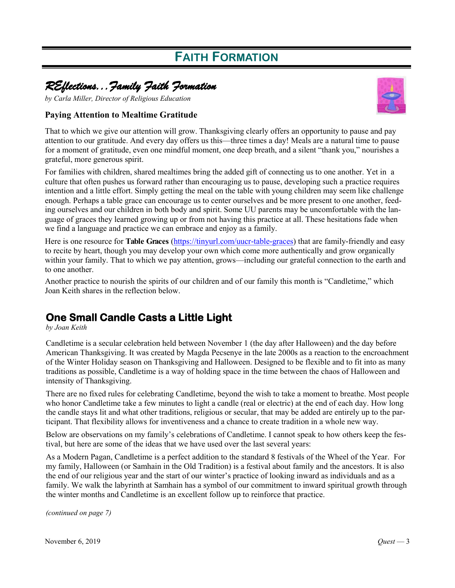# **FAITH FORMATION**

## *REflections...Family Faith Formation*

*by Carla Miller, Director of Religious Education*

#### **Paying Attention to Mealtime Gratitude**



That to which we give our attention will grow. Thanksgiving clearly offers an opportunity to pause and pay attention to our gratitude. And every day offers us this—three times a day! Meals are a natural time to pause for a moment of gratitude, even one mindful moment, one deep breath, and a silent "thank you," nourishes a grateful, more generous spirit.

For families with children, shared mealtimes bring the added gift of connecting us to one another. Yet in a culture that often pushes us forward rather than encouraging us to pause, developing such a practice requires intention and a little effort. Simply getting the meal on the table with young children may seem like challenge enough. Perhaps a table grace can encourage us to center ourselves and be more present to one another, feeding ourselves and our children in both body and spirit. Some UU parents may be uncomfortable with the language of graces they learned growing up or from not having this practice at all. These hesitations fade when we find a language and practice we can embrace and enjoy as a family.

Here is one resource for **Table Graces** ([https://tinyurl.com/uucr-table-graces\)](https://tinyurl.com/uucr-table-graces) that are family-friendly and easy to recite by heart, though you may develop your own which come more authentically and grow organically within your family. That to which we pay attention, grows—including our grateful connection to the earth and to one another.

Another practice to nourish the spirits of our children and of our family this month is "Candletime," which Joan Keith shares in the reflection below.

## **One Small Candle Casts a Little Light**

*by Joan Keith*

Candletime is a secular celebration held between November 1 (the day after Halloween) and the day before American Thanksgiving. It was created by Magda Pecsenye in the late 2000s as a reaction to the encroachment of the Winter Holiday season on Thanksgiving and Halloween. Designed to be flexible and to fit into as many traditions as possible, Candletime is a way of holding space in the time between the chaos of Halloween and intensity of Thanksgiving.

There are no fixed rules for celebrating Candletime, beyond the wish to take a moment to breathe. Most people who honor Candletime take a few minutes to light a candle (real or electric) at the end of each day. How long the candle stays lit and what other traditions, religious or secular, that may be added are entirely up to the participant. That flexibility allows for inventiveness and a chance to create tradition in a whole new way.

Below are observations on my family's celebrations of Candletime. I cannot speak to how others keep the festival, but here are some of the ideas that we have used over the last several years:

As a Modern Pagan, Candletime is a perfect addition to the standard 8 festivals of the Wheel of the Year. For my family, Halloween (or Samhain in the Old Tradition) is a festival about family and the ancestors. It is also the end of our religious year and the start of our winter's practice of looking inward as individuals and as a family. We walk the labyrinth at Samhain has a symbol of our commitment to inward spiritual growth through the winter months and Candletime is an excellent follow up to reinforce that practice.

*(continued on page 7)*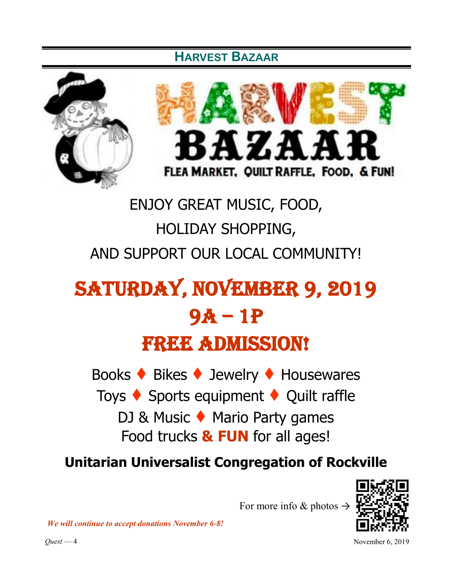## **HARVEST BAZAAR**





# ENJOY GREAT MUSIC, FOOD, HOLIDAY SHOPPING, AND SUPPORT OUR LOCAL COMMUNITY!

# Saturday, November 9, 2019 9a – 1p FREE ADMISSION!

Books ♦ Bikes ♦ Jewelry ♦ Housewares Toys ♦ Sports equipment ♦ Quilt raffle DJ & Music ♦ Mario Party games Food trucks **& FUN** for all ages!

**Unitarian Universalist Congregation of Rockville** 

For more info & photos  $\rightarrow$ 

*We will continue to accept donations November 6-8!*

*Quest* — 4 November 6, 2019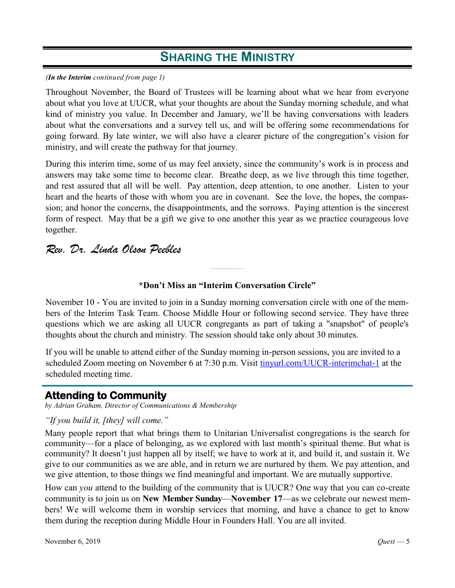#### *(In the Interim continued from page 1)*

Throughout November, the Board of Trustees will be learning about what we hear from everyone about what you love at UUCR, what your thoughts are about the Sunday morning schedule, and what kind of ministry you value. In December and January, we'll be having conversations with leaders about what the conversations and a survey tell us, and will be offering some recommendations for going forward. By late winter, we will also have a clearer picture of the congregation's vision for ministry, and will create the pathway for that journey.

During this interim time, some of us may feel anxiety, since the community's work is in process and answers may take some time to become clear. Breathe deep, as we live through this time together, and rest assured that all will be well. Pay attention, deep attention, to one another. Listen to your heart and the hearts of those with whom you are in covenant. See the love, the hopes, the compassion; and honor the concerns, the disappointments, and the sorrows. Paying attention is the sincerest form of respect. May that be a gift we give to one another this year as we practice courageous love together.

## *Rev. Dr. Linda Olson Peebles*

#### **\*Don't Miss an "Interim Conversation Circle"**

*\_\_\_\_\_\_\_\_\_\_\_\_\_\_\_\_\_\_\_\_\_\_*

November 10 - You are invited to join in a Sunday morning conversation circle with one of the members of the Interim Task Team. Choose Middle Hour or following second service. They have three questions which we are asking all UUCR congregants as part of taking a "snapshot" of people's thoughts about the church and ministry. The session should take only about 30 minutes.

If you will be unable to attend either of the Sunday morning in-person sessions, you are invited to a scheduled Zoom meeting on November 6 at 7:30 p.m. Visit [tinyurl.com/UUCR-interimchat-1](https://zoom.us/j/318980145?pwd=U2tsTUVhUUhnODdzWFcxdUl0WUx1UT09&status=success) at the scheduled meeting time.

### **Attending to Community**

*by Adrian Graham, Director of Communications & Membership*

#### *"If you build it, [they] will come."*

Many people report that what brings them to Unitarian Universalist congregations is the search for community—for a place of belonging, as we explored with last month's spiritual theme. But what is community? It doesn't just happen all by itself; we have to work at it, and build it, and sustain it. We give to our communities as we are able, and in return we are nurtured by them. We pay attention, and we give attention, to those things we find meaningful and important. We are mutually supportive.

How can *you* attend to the building of the community that is UUCR? One way that you can co-create community is to join us on **New Member Sunday**—**November 17**—as we celebrate our newest members! We will welcome them in worship services that morning, and have a chance to get to know them during the reception during Middle Hour in Founders Hall. You are all invited.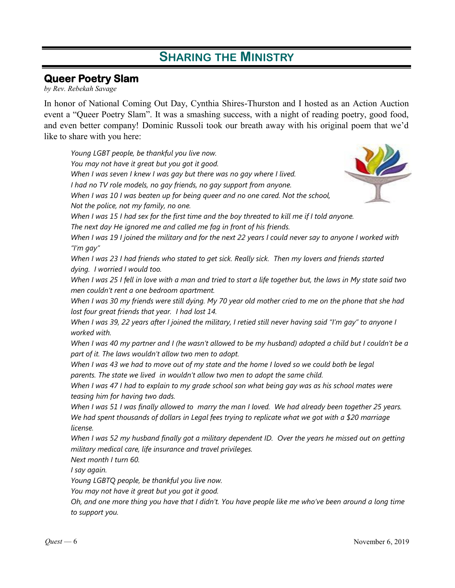## **Queer Poetry Slam**

*by Rev. Rebekah Savage*

In honor of National Coming Out Day, Cynthia Shires-Thurston and I hosted as an Action Auction event a "Queer Poetry Slam". It was a smashing success, with a night of reading poetry, good food, and even better company! Dominic Russoli took our breath away with his original poem that we'd like to share with you here:

*Young LGBT people, be thankful you live now. You may not have it great but you got it good. When I was seven I knew I was gay but there was no gay where I lived. I had no TV role models, no gay friends, no gay support from anyone. When I was 10 I was beaten up for being queer and no one cared. Not the school, Not the police, not my family, no one. When I was 15 I had sex for the first time and the boy threated to kill me if I told anyone. The next day He ignored me and called me fag in front of his friends. When I was 19 I joined the military and for the next 22 years I could never say to anyone I worked with "I'm gay" When I was 23 I had friends who stated to get sick. Really sick. Then my lovers and friends started dying. I worried I would too. When I was 25 I fell in love with a man and tried to start a life together but, the laws in My state said two men couldn't rent a one bedroom apartment. When I was 30 my friends were still dying. My 70 year old mother cried to me on the phone that she had lost four great friends that year. I had lost 14. When I was 39, 22 years after I joined the military, I retied still never having said "I'm gay" to anyone I worked with. When I was 40 my partner and I (he wasn't allowed to be my husband) adopted a child but I couldn't be a part of it. The laws wouldn't allow two men to adopt. When I was 43 we had to move out of my state and the home I loved so we could both be legal parents. The state we lived in wouldn't allow two men to adopt the same child. When I was 47 I had to explain to my grade school son what being gay was as his school mates were teasing him for having two dads. When I was 51 I was finally allowed to marry the man I loved. We had already been together 25 years. We had spent thousands of dollars in Legal fees trying to replicate what we got with a \$20 marriage license. When I was 52 my husband finally got a military dependent ID. Over the years he missed out on getting military medical care, life insurance and travel privileges. Next month I turn 60. I say again. Young LGBTQ people, be thankful you live now. You may not have it great but you got it good. Oh, and one more thing you have that I didn't. You have people like me who've been around a long time to support you.*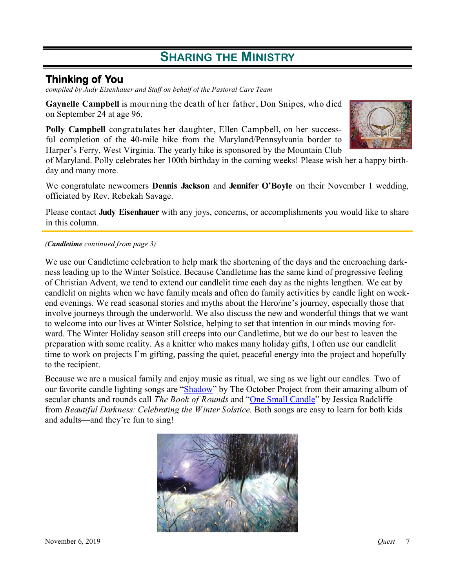### **Thinking of You**

*compiled by Judy Eisenhauer and Staff on behalf of the Pastoral Care Team*

**Gaynelle Campbell** is mourning the death of her father, Don Snipes, who died on September 24 at age 96.

**Polly Campbell** congratulates her daughter, Ellen Campbell, on her successful completion of the 40-mile hike from the Maryland/Pennsylvania border to Harper's Ferry, West Virginia. The yearly hike is sponsored by the Mountain Club

of Maryland. Polly celebrates her 100th birthday in the coming weeks! Please wish her a happy birthday and many more.

We congratulate newcomers **Dennis Jackson** and **Jennifer O'Boyle** on their November 1 wedding, officiated by Rev. Rebekah Savage.

Please contact **Judy Eisenhauer** with any joys, concerns, or accomplishments you would like to share in this column.

#### *(Candletime continued from page 3)*

We use our Candletime celebration to help mark the shortening of the days and the encroaching darkness leading up to the Winter Solstice. Because Candletime has the same kind of progressive feeling of Christian Advent, we tend to extend our candlelit time each day as the nights lengthen. We eat by candlelit on nights when we have family meals and often do family activities by candle light on weekend evenings. We read seasonal stories and myths about the Hero/ine's journey, especially those that involve journeys through the underworld. We also discuss the new and wonderful things that we want to welcome into our lives at Winter Solstice, helping to set that intention in our minds moving forward. The Winter Holiday season still creeps into our Candletime, but we do our best to leaven the preparation with some reality. As a knitter who makes many holiday gifts, I often use our candlelit time to work on projects I'm gifting, passing the quiet, peaceful energy into the project and hopefully to the recipient.

Because we are a musical family and enjoy music as ritual, we sing as we light our candles. Two of our favorite candle lighting songs are "[Shadow"](https://www.youtube.com/watch?v=zAZzNXrweeI)) by The October Project from their amazing album of secular chants and rounds call *The Book of Rounds* and ["One Small Candle"](https://www.youtube.com/watch?v=J02mGiWY_Ho) by Jessica Radcliffe from *Beautiful Darkness: Celebrating the Winter Solstice.* Both songs are easy to learn for both kids and adults—and they're fun to sing!

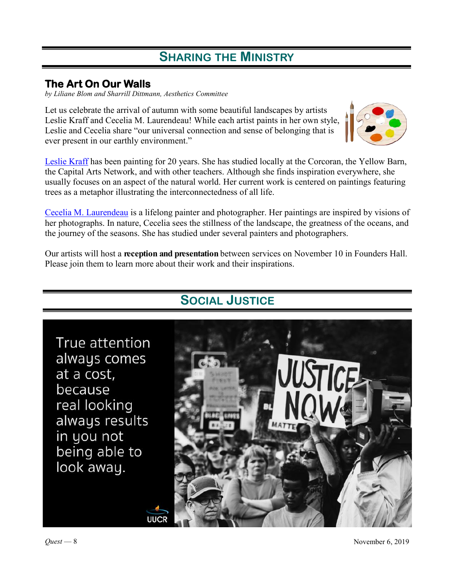## **The Art On Our Walls**

*by Liliane Blom and Sharrill Dittmann, Aesthetics Committee*

Let us celebrate the arrival of autumn with some beautiful landscapes by artists Leslie Kraff and Cecelia M. Laurendeau! While each artist paints in her own style, Leslie and Cecelia share "our universal connection and sense of belonging that is ever present in our earthly environment."

[Leslie Kraff](http://www.lesliekraffstudio.com/) has been painting for 20 years. She has studied locally at the Corcoran, the Yellow Barn, the Capital Arts Network, and with other teachers. Although she finds inspiration everywhere, she usually focuses on an aspect of the natural world. Her current work is centered on paintings featuring trees as a metaphor illustrating the interconnectedness of all life.

[Cecelia M. Laurendeau](https://www.laurendeauart.com/) is a lifelong painter and photographer. Her paintings are inspired by visions of her photographs. In nature, Cecelia sees the stillness of the landscape, the greatness of the oceans, and the journey of the seasons. She has studied under several painters and photographers.

Our artists will host a **reception and presentation** between services on November 10 in Founders Hall. Please join them to learn more about their work and their inspirations.



**UUCR** 

## **SOCIAL JUSTICE**

*Quest* — 8 November 6, 2019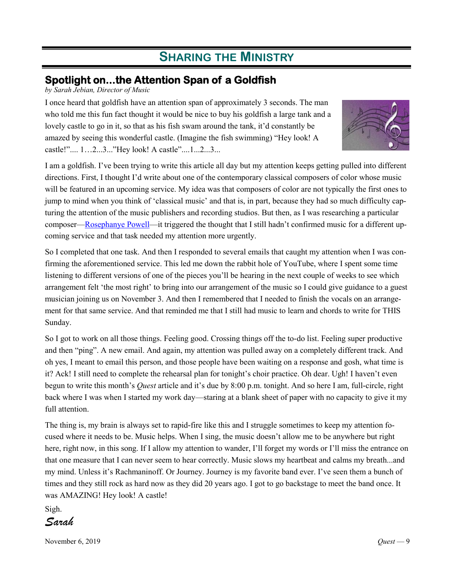## **Spotlight on...the Attention Span of a Goldfish**

*by Sarah Jebian, Director of Music*

I once heard that goldfish have an attention span of approximately 3 seconds. The man who told me this fun fact thought it would be nice to buy his goldfish a large tank and a lovely castle to go in it, so that as his fish swam around the tank, it'd constantly be amazed by seeing this wonderful castle. (Imagine the fish swimming) "Hey look! A castle!".... 1…2...3..."Hey look! A castle"....1...2...3...



I am a goldfish. I've been trying to write this article all day but my attention keeps getting pulled into different directions. First, I thought I'd write about one of the contemporary classical composers of color whose music will be featured in an upcoming service. My idea was that composers of color are not typically the first ones to jump to mind when you think of 'classical music' and that is, in part, because they had so much difficulty capturing the attention of the music publishers and recording studios. But then, as I was researching a particular composer[—Rosephanye Powell—](http://rosephanyepowell.com/)it triggered the thought that I still hadn't confirmed music for a different upcoming service and that task needed my attention more urgently.

So I completed that one task. And then I responded to several emails that caught my attention when I was confirming the aforementioned service. This led me down the rabbit hole of YouTube, where I spent some time listening to different versions of one of the pieces you'll be hearing in the next couple of weeks to see which arrangement felt 'the most right' to bring into our arrangement of the music so I could give guidance to a guest musician joining us on November 3. And then I remembered that I needed to finish the vocals on an arrangement for that same service. And that reminded me that I still had music to learn and chords to write for THIS Sunday.

So I got to work on all those things. Feeling good. Crossing things off the to-do list. Feeling super productive and then "ping". A new email. And again, my attention was pulled away on a completely different track. And oh yes, I meant to email this person, and those people have been waiting on a response and gosh, what time is it? Ack! I still need to complete the rehearsal plan for tonight's choir practice. Oh dear. Ugh! I haven't even begun to write this month's *Quest* article and it's due by 8:00 p.m. tonight. And so here I am, full-circle, right back where I was when I started my work day—staring at a blank sheet of paper with no capacity to give it my full attention.

The thing is, my brain is always set to rapid-fire like this and I struggle sometimes to keep my attention focused where it needs to be. Music helps. When I sing, the music doesn't allow me to be anywhere but right here, right now, in this song. If I allow my attention to wander, I'll forget my words or I'll miss the entrance on that one measure that I can never seem to hear correctly. Music slows my heartbeat and calms my breath...and my mind. Unless it's Rachmaninoff. Or Journey. Journey is my favorite band ever. I've seen them a bunch of times and they still rock as hard now as they did 20 years ago. I got to go backstage to meet the band once. It was AMAZING! Hey look! A castle!

Sigh.

*Sarah*